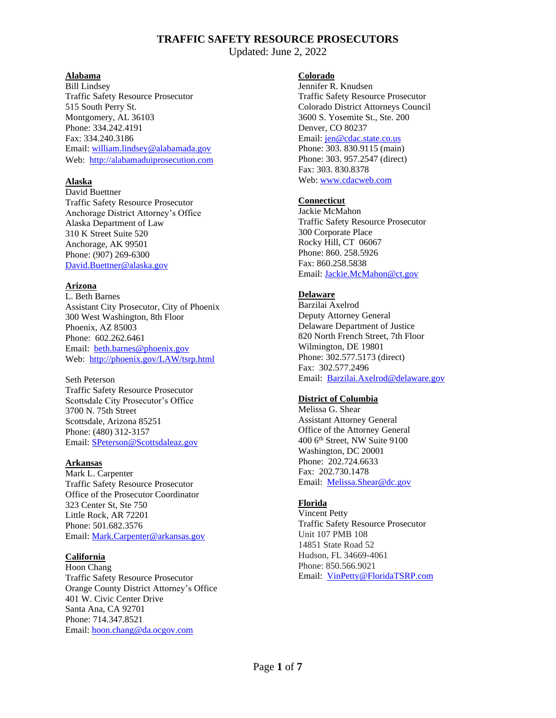Updated: June 2, 2022

#### **Alabama**

Bill Lindsey Traffic Safety Resource Prosecutor 515 South Perry St. Montgomery, AL 36103 Phone: 334.242.4191 Fax: 334.240.3186 Email: [william.lindsey@alabamada.gov](mailto:william.lindsey@alabamada.gov) Web: [http://alabamaduiprosecution.com](http://alabamaduiprosecution.com/)

### **Alaska**

David Buettner Traffic Safety Resource Prosecutor Anchorage District Attorney's Office Alaska Department of Law 310 K Street Suite 520 Anchorage, AK 99501 Phone: (907) 269-6300 [David.Buettner@alaska.gov](mailto:David.Buettner@alaska.gov)

## **Arizona**

L. Beth Barnes Assistant City Prosecutor, City of Phoenix 300 West Washington, 8th Floor Phoenix, AZ 85003 Phone: 602.262.6461 Email: [beth.barnes@phoenix.gov](mailto:beth.barnes@phoenix.gov) Web:<http://phoenix.gov/LAW/tsrp.html>

Seth Peterson Traffic Safety Resource Prosecutor Scottsdale City Prosecutor's Office 3700 N. 75th Street Scottsdale, Arizona 85251 Phone: (480) 312-3157 Email: [SPeterson@Scottsdaleaz.gov](mailto:SPeterson@Scottsdaleaz.gov)

### **Arkansas**

Mark L. Carpenter Traffic Safety Resource Prosecutor Office of the Prosecutor Coordinator 323 Center St, Ste 750 Little Rock, AR 72201 Phone: 501.682.3576 Email: [Mark.Carpenter@arkansas.gov](mailto:Mark.Carpenter@arkansas.gov)

### **California**

Hoon Chang Traffic Safety Resource Prosecutor Orange County District Attorney's Office 401 W. Civic Center Drive Santa Ana, CA 92701 Phone: 714.347.8521 Email: [hoon.chang@da.ocgov.com](file://///adam/sophia/TRAFFIC/1.%20NTLC_Library/Membership%20Lists/TSRP%20Lists/hoon.chang@da.ocgov.com)

## **Colorado**

Jennifer R. Knudsen Traffic Safety Resource Prosecutor Colorado District Attorneys Council 3600 S. Yosemite St., Ste. 200 Denver, CO 80237 Email[: jen@cdac.state.co.us](mailto:jen@cdac.state.co.us) Phone: 303. 830.9115 (main)

Phone: 303. 957.2547 (direct) Fax: 303. 830.8378 Web[: www.cdacweb.com](http://www.cdacweb.com/)

## **Connecticut**

Jackie McMahon Traffic Safety Resource Prosecutor 300 Corporate Place Rocky Hill, CT 06067 Phone: 860. 258.5926 Fax: 860.258.5838 Email[: Jackie.McMahon@ct.gov](mailto:Jackie.McMahon@ct.gov)

# **Delaware**

Barzilai Axelrod Deputy Attorney General Delaware Department of Justice 820 North French Street, 7th Floor Wilmington, DE 19801 Phone: 302.577.5173 (direct) Fax: 302.577.2496 Email: [Barzilai.Axelrod@delaware.gov](mailto:Barzilai.Axelrod@delaware.gov)

### **District of Columbia**

Melissa G. Shear Assistant Attorney General Office of the Attorney General 400 6th Street, NW Suite 9100 Washington, DC 20001 Phone: 202.724.6633 Fax: 202.730.1478 Email: [Melissa.Shear@dc.gov](mailto:Melissa.Shear@dc.gov)

# **Florida**

Vincent Petty Traffic Safety Resource Prosecutor Unit 107 PMB 108 14851 State Road 52 Hudson, FL 34669-4061 Phone: 850.566.9021 Email: [VinPetty@FloridaTSRP.com](file://///adam/sophia/TRAFFIC/1.%20NTLC_Library/Membership%20Lists/TSRP%20Lists/VinPetty@FloridaTSRP.com)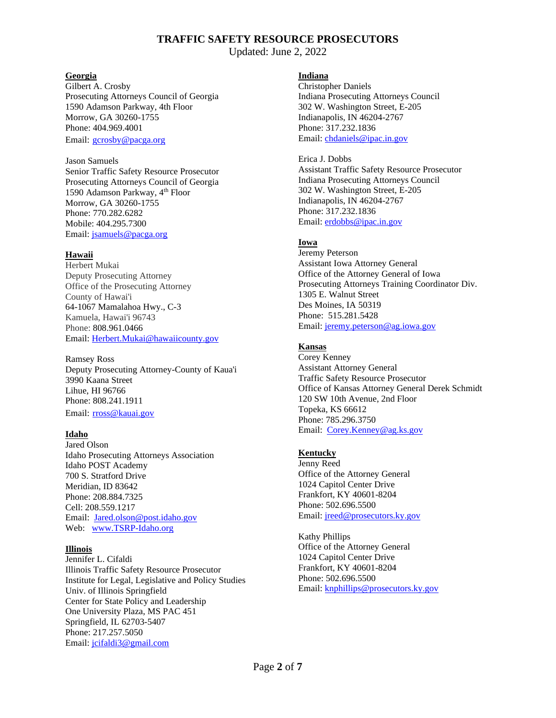Updated: June 2, 2022

### **Georgia**

Gilbert A. Crosby Prosecuting Attorneys Council of Georgia 1590 Adamson Parkway, 4th Floor Morrow, GA 30260-1755 Phone: 404.969.4001 Email: [gcrosby@pacga.org](mailto:gcrosby@pacga.org)

#### Jason Samuels

Senior Traffic Safety Resource Prosecutor Prosecuting Attorneys Council of Georgia 1590 Adamson Parkway, 4<sup>th</sup> Floor Morrow, GA 30260-1755 Phone: 770.282.6282 Mobile: 404.295.7300 Email: [jsamuels@pacga.org](mailto:jsamuels@pacga.org)

# **Hawaii**

Herbert Mukai Deputy Prosecuting Attorney Office of the Prosecuting Attorney County of Hawai'i 64-1067 Mamalahoa Hwy., C-3 Kamuela, Hawai'i 96743 Phone: 808.961.0466 Email: [Herbert.Mukai@hawaiicounty.gov](mailto:Herbert.Mukai@hawaiicounty.gov)

Ramsey Ross Deputy Prosecuting Attorney-County of Kaua'i 3990 Kaana Street Lihue, HI 96766 Phone: 808.241.1911 Email: [rross@kauai.gov](mailto:rross@kauai.gov)

# **Idaho**

Jared Olson Idaho Prosecuting Attorneys Association Idaho POST Academy 700 S. Stratford Drive Meridian, ID 83642 Phone: 208.884.7325 Cell: 208.559.1217 Email: [Jared.olson@post.idaho.gov](mailto:Jared.olson@post.idaho.gov) Web: [www.TSRP-Idaho.org](http://www.tsrp-idaho.org/)

# **Illinois**

Jennifer L. Cifaldi Illinois Traffic Safety Resource Prosecutor Institute for Legal, Legislative and Policy Studies Univ. of Illinois Springfield Center for State Policy and Leadership One University Plaza, MS PAC 451 Springfield, IL 62703-5407 Phone: [217.257.5050](tel:(217)%20257-5050) Email: [jcifaldi3@gmail.com](mailto:jcifaldi3@gmail.com)

## **Indiana**

Christopher Daniels Indiana Prosecuting Attorneys Council 302 W. Washington Street, E-205 Indianapolis, IN 46204-2767 Phone: 317.232.1836 Email[: chdaniels@ipac.in.gov](mailto:chdaniels@ipac.in.gov)

#### Erica J. Dobbs Assistant Traffic Safety Resource Prosecutor Indiana Prosecuting Attorneys Council 302 W. Washington Street, E-205 Indianapolis, IN 46204-2767 Phone: 317.232.1836 Email[: erdobbs@ipac.in.gov](mailto:erdobbs@ipac.in.gov)

# **Iowa**

Jeremy Peterson Assistant Iowa Attorney General Office of the Attorney General of Iowa Prosecuting Attorneys Training Coordinator Div. 1305 E. Walnut Street Des Moines, IA 50319 Phone: 515.281.5428 Email: [jeremy.peterson@ag.iowa.gov](mailto:jeremy.peterson@ag.iowa.gov)

# **Kansas**

Corey Kenney Assistant Attorney General Traffic Safety Resource Prosecutor Office of Kansas Attorney General Derek Schmidt 120 SW 10th Avenue, 2nd Floor Topeka, KS 66612 Phone: 785.296.3750 Email: [Corey.Kenney@ag.ks.gov](mailto:Corey.Kenney@ag.ks.gov)

# **Kentucky**

Jenny Reed Office of the Attorney General 1024 Capitol Center Drive Frankfort, KY 40601-8204 Phone: 502.696.5500 Email[: jreed@prosecutors.ky.gov](mailto:jreed@prosecutors.ky.gov)

Kathy Phillips Office of the Attorney General 1024 Capitol Center Drive Frankfort, KY 40601-8204 Phone: 502.696.5500 Email[: knphillips@prosecutors.ky.gov](mailto:knphillips@prosecutors.ky.gov)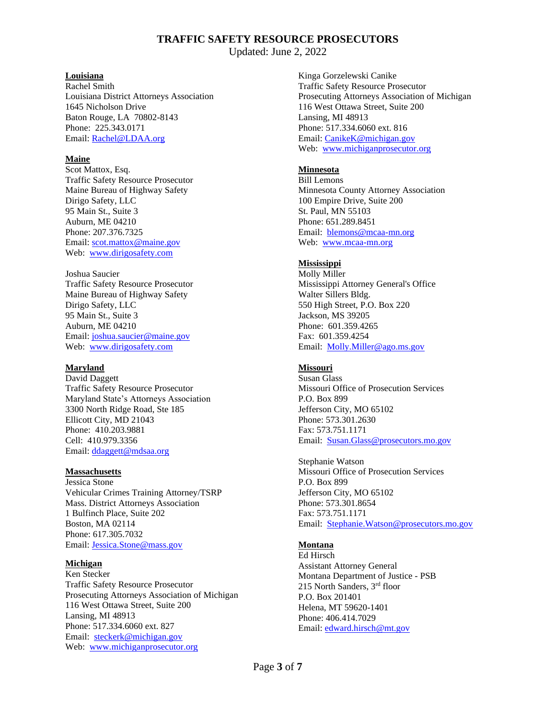Updated: June 2, 2022

### **Louisiana**

Rachel Smith Louisiana District Attorneys Association 1645 Nicholson Drive Baton Rouge, LA 70802-8143 Phone: 225.343.0171 Email: [Rachel@LDAA.org](mailto:Rachel@LDAA.org)

### **Maine**

Scot Mattox, Esq. Traffic Safety Resource Prosecutor Maine Bureau of Highway Safety Dirigo Safety, LLC 95 Main St., Suite 3 Auburn, ME 04210 Phone: 207.376.7325 Email: [scot.mattox@maine.gov](mailto:scot.mattox@maine.gov) Web: [www.dirigosafety.com](http://www.dirigosafety.com/)

Joshua Saucier Traffic Safety Resource Prosecutor Maine Bureau of Highway Safety Dirigo Safety, LLC 95 Main St., Suite 3 Auburn, ME 04210 Email: [joshua.saucier@maine.gov](mailto:scot.mattox@maine.gov) Web: [www.dirigosafety.com](http://www.dirigosafety.com/)

### **Maryland**

David Daggett Traffic Safety Resource Prosecutor Maryland State's Attorneys Association 3300 North Ridge Road, Ste 185 Ellicott City, MD 21043 Phone: 410.203.9881 Cell: 410.979.3356 Email: [ddaggett@mdsaa.org](mailto:ddaggett@mdsaa.org)

### **Massachusetts**

Jessica Stone Vehicular Crimes Training Attorney/TSRP Mass. District Attorneys Association 1 Bulfinch Place, Suite 202 Boston, MA 02114 Phone: 617.305.7032 Email: [Jessica.Stone@mass.gov](mailto:Jessica.Stone@mass.gov)

### **Michigan**

Ken Stecker Traffic Safety Resource Prosecutor Prosecuting Attorneys Association of Michigan 116 West Ottawa Street, Suite 200 Lansing, MI 48913 Phone: 517.334.6060 ext. 827 Email: [steckerk@michigan.gov](mailto:steckerk@michigan.gov) Web: [www.michiganprosecutor.org](http://www.michiganprosecutor.org/)

Kinga Gorzelewski Canike Traffic Safety Resource Prosecutor Prosecuting Attorneys Association of Michigan 116 West Ottawa Street, Suite 200 Lansing, MI 48913 Phone: 517.334.6060 ext. 816 Email[: CanikeK@michigan.gov](mailto:CanikeK@michigan.gov) Web: [www.michiganprosecutor.org](http://www.michiganprosecutor.com/)

## **Minnesota**

Bill Lemons Minnesota County Attorney Association 100 Empire Drive, Suite 200 St. Paul, MN 55103 Phone: 651.289.8451 Email: [blemons@mcaa-mn.org](mailto:sheng%40mcaa-mn.org) Web: [www.mcaa-mn.org](http://www.mcaa-mn.org/)

## **Mississippi**

Molly Miller Mississippi Attorney General's Office Walter Sillers Bldg. 550 High Street, P.O. Box 220 Jackson, MS 39205 Phone: 601.359.4265 Fax: 601.359.4254 Email: [Molly.Miller@ago.ms.gov](mailto:Molly.Miller@ago.ms.gov)

### **Missouri**

Susan Glass Missouri Office of Prosecution Services P.O. Box 899 Jefferson City, MO 65102 Phone: 573.301.2630 Fax: 573.751.1171 Email: [Susan.Glass@prosecutors.mo.gov](mailto:Susan.Glass@prosecutors.mo.gov)

Stephanie Watson Missouri Office of Prosecution Services P.O. Box 899 Jefferson City, MO 65102 Phone: 573.301.8654 Fax: 573.751.1171 Email: [Stephanie.Watson@prosecutors.mo.gov](mailto:Stephanie.Watson@prosecutors.mo.gov)

# **Montana**

Ed Hirsch Assistant Attorney General Montana Department of Justice - PSB 215 North Sanders, 3rd floor P.O. Box 201401 Helena, MT 59620-1401 Phone: 406.414.7029 Email[: edward.hirsch@mt.gov](mailto:edward.hirsch@mt.gov)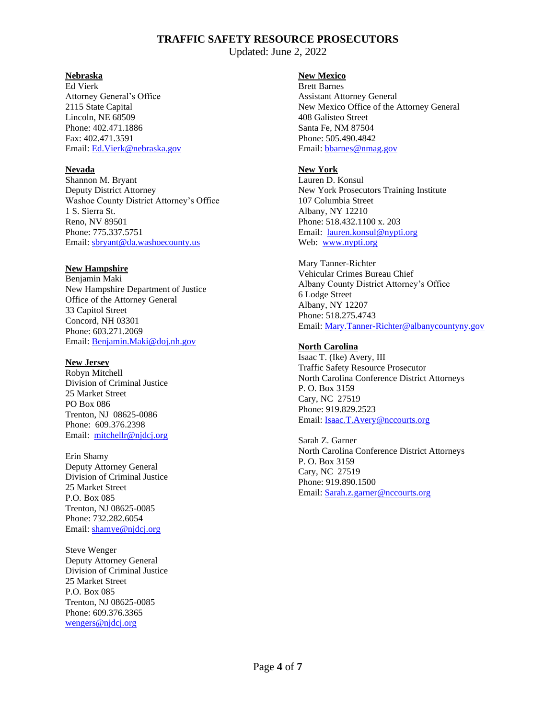Updated: June 2, 2022

### **Nebraska**

Ed Vierk Attorney General's Office 2115 State Capital Lincoln, NE 68509 Phone: 402.471.1886 Fax: 402.471.3591 Email: [Ed.Vierk@nebraska.gov](mailto:Ed.Vierk@nebraska.gov)

# **Nevada**

Shannon M. Bryant Deputy District Attorney Washoe County District Attorney's Office 1 S. Sierra St. Reno, NV 89501 Phone: 775.337.5751 Email: [sbryant@da.washoecounty.us](mailto:sbryant@da.washoecounty.us)

## **New Hampshire**

Benjamin Maki New Hampshire Department of Justice Office of the Attorney General 33 Capitol Street Concord, NH 03301 Phone: 603.271.2069 Email: [Benjamin.Maki@doj.nh.gov](mailto:Benjamin.Maki@doj.nh.gov)

### **New Jersey**

Robyn Mitchell Division of Criminal Justice 25 Market Street PO Box 086 Trenton, NJ 08625-0086 Phone: 609.376.2398 Email: [mitchellr@njdcj.org](mailto:mitchellr@njdcj.org)

Erin Shamy Deputy Attorney General Division of Criminal Justice 25 Market Street P.O. Box 085 Trenton, NJ 08625-0085 Phone: 732.282.6054 Email: [shamye@njdcj.org](mailto:shamye@njdcj.org)

Steve Wenger Deputy Attorney General Division of Criminal Justice 25 Market Street P.O. Box 085 Trenton, NJ 08625-0085 Phone: 609.376.3365 [wengers@njdcj.org](mailto:wengers@njdcj.org)

## **New Mexico**

Brett Barnes Assistant Attorney General New Mexico Office of the Attorney General 408 Galisteo Street Santa Fe, NM 87504 Phone: 505.490.4842 Email[: bbarnes@nmag.gov](mailto:bbarnes@nmag.gov)

# **New York**

Lauren D. Konsul New York Prosecutors Training Institute 107 Columbia Street Albany, NY 12210 Phone: 518.432.1100 x. 203 Email: [lauren.konsul@nypti.org](mailto:lauren.konsul@nypti.org) Web: [www.nypti.org](http://www.nypti.org/)

Mary Tanner-Richter Vehicular Crimes Bureau Chief Albany County District Attorney's Office 6 Lodge Street Albany, NY 12207 Phone: 518.275.4743 Email[: Mary.Tanner-Richter@albanycountyny.gov](mailto:Mary.Tanner-Richter@albanycountyny.gov)

# **North Carolina**

Isaac T. (Ike) Avery, III Traffic Safety Resource Prosecutor North Carolina Conference District Attorneys P. O. Box 3159 Cary, NC 27519 Phone: 919.829.2523 Email: Isaac.T.Avery@nccourts.org

Sarah Z. Garner North Carolina Conference District Attorneys P. O. Box 3159 Cary, NC 27519 Phone: 919.890.1500 Email[: Sarah.z.garner@nccourts.org](mailto:Sarah.z.garner@nccourts.org)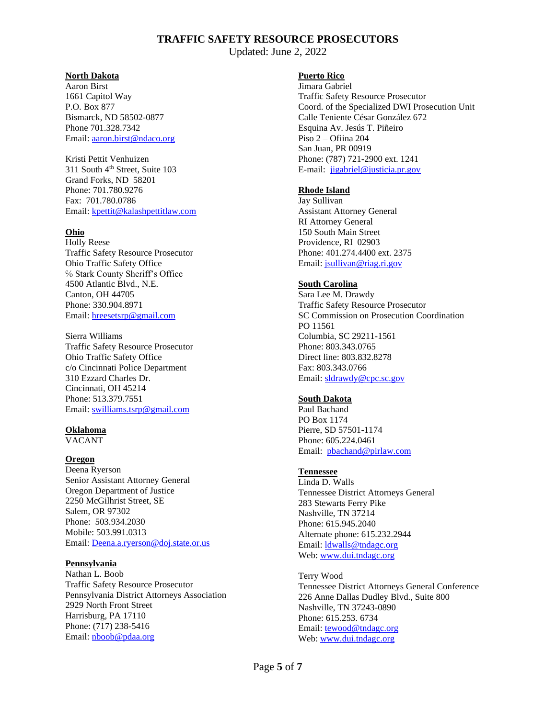Updated: June 2, 2022

#### **North Dakota**

Aaron Birst 1661 Capitol Way P.O. Box 877 Bismarck, ND 58502-0877 Phone 701.328.7342 Email: [aaron.birst@ndaco.org](mailto:aaron.birst@ndaco.org)

Kristi Pettit Venhuizen 311 South 4<sup>th</sup> Street, Suite 103 Grand Forks, ND 58201 Phone: 701.780.9276 Fax: 701.780.0786 Email: [kpettit@kalashpettitlaw.com](mailto:kpettit@kalashpettitlaw.com)

## **Ohio**

Holly Reese Traffic Safety Resource Prosecutor Ohio Traffic Safety Office ℅ Stark County Sheriff's Office 4500 Atlantic Blvd., N.E. Canton, OH 44705 Phone: [330.904.8971](tel:(330)%20904-8971) Email: [hreesetsrp@gmail.com](mailto:hreesetsrp@gmail.com)

Sierra Williams Traffic Safety Resource Prosecutor Ohio Traffic Safety Office c/o Cincinnati Police Department 310 Ezzard Charles Dr. Cincinnati, OH 45214 Phone: 513.379.7551 Email: [swilliams.tsrp@gmail.com](mailto:swilliams.tsrp@gmail.com)

### **Oklahoma**

VACANT

### **Oregon**

Deena Ryerson Senior Assistant Attorney General Oregon Department of Justice 2250 McGilhrist Street, SE Salem, OR 97302 Phone: 503.934.2030 Mobile: 503.991.0313 Email: [Deena.a.ryerson@doj.state.or.us](mailto:Deena.a.ryerson@doj.state.or.us)

### **Pennsylvania**

Nathan L. Boob Traffic Safety Resource Prosecutor Pennsylvania District Attorneys Association 2929 North Front Street Harrisburg, PA 17110 Phone: (717) 238-5416 Email: [nboob@pdaa.org](mailto:nboob@pdaa.org)

## **Puerto Rico**

Jimara Gabriel Traffic Safety Resource Prosecutor Coord. of the Specialized DWI Prosecution Unit Calle Teniente César González 672 Esquina Av. Jesús T. Piñeiro Piso 2 – Ofiina 204 San Juan, PR 00919 Phone: (787) 721-2900 ext. 1241 E-mail: [jigabriel@justicia.pr.gov](mailto:jigabriel@justicia.pr.gov)

## **Rhode Island**

Jay Sullivan Assistant Attorney General RI Attorney General 150 South Main Street Providence, RI 02903 Phone: 401.274.4400 ext. 2375 Email[: jsullivan@riag.ri.gov](mailto:jsullivan@riag.ri.gov)

## **South Carolina**

Sara Lee M. Drawdy Traffic Safety Resource Prosecutor SC Commission on Prosecution Coordination PO 11561 Columbia, SC 29211-1561 Phone: 803.343.0765 Direct line: 803.832.8278 Fax: 803.343.0766 Email[: sldrawdy@cpc.sc.gov](mailto:sldrawdy@cpc.sc.gov)

### **South Dakota**

Paul Bachand PO Box 1174 Pierre, SD 57501-1174 Phone: 605.224.0461 Email: [pbachand@pirlaw.com](mailto:pbachand@pirlaw.com)

### **Tennessee**

Linda D. Walls Tennessee District Attorneys General 283 Stewarts Ferry Pike Nashville, TN 37214 Phone: 615.945.2040 Alternate phone: 615.232.2944 Email[: ldwalls@tndagc.org](mailto:ldwalls@tndagc.org) Web[: www.dui.tndagc.org](http://www.dui.tndagc.org/)

Terry Wood Tennessee District Attorneys General Conference 226 Anne Dallas Dudley Blvd., Suite 800 Nashville, TN 37243-0890 Phone: 615.253. 6734 Email[: tewood@tndagc.org](mailto:tewood@tndagc.org) Web[: www.dui.tndagc.org](http://www.dui.tndagc.org/)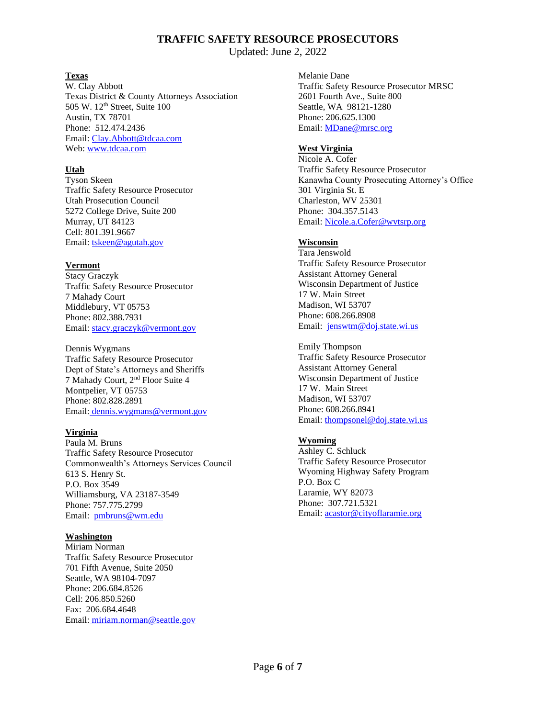Updated: June 2, 2022

## **Texas**

W. Clay Abbott Texas District & County Attorneys Association 505 W. 12<sup>th</sup> Street, Suite 100 Austin, TX 78701 Phone: 512.474.2436 Email: [Clay.Abbott@tdcaa.com](mailto:Clay.Abbott@tdcaa.com) Web: [www.tdcaa.com](http://www.tdcaa.com/)

# **Utah**

Tyson Skeen Traffic Safety Resource Prosecutor Utah Prosecution Council 5272 College Drive, Suite 200 Murray, UT 84123 Cell: 801.391.9667 Email: [tskeen@agutah.gov](mailto:tskeen@agutah.gov)

## **Vermont**

Stacy Graczyk Traffic Safety Resource Prosecutor 7 Mahady Court Middlebury, VT 05753 Phone: 802.388.7931 Email: [stacy.graczyk@vermont.gov](mailto:stacy.graczyk@vermont.gov)

Dennis Wygmans Traffic Safety Resource Prosecutor Dept of State's Attorneys and Sheriffs 7 Mahady Court, 2nd Floor Suite 4 Montpelier, VT 05753 Phone: 802.828.2891 Email: [dennis.wygmans@vermont.gov](mailto:%20dennis.wygmans@vermont.gov)

# **Virginia**

Paula M. Bruns Traffic Safety Resource Prosecutor Commonwealth's Attorneys Services Council 613 S. Henry St. P.O. Box 3549 Williamsburg, VA 23187-3549 Phone: 757.775.2799 Email: [pmbruns@wm.edu](mailto:pmbruns@wm.edu)

# **Washington**

Miriam Norman Traffic Safety Resource Prosecutor 701 Fifth Avenue, Suite 2050 Seattle, WA 98104-7097 Phone: 206.684.8526 Cell: 206.850.5260 Fax: 206.684.4648 Email: [miriam.norman@seattle.gov](mailto:miriam.norman@seattle.gov) Melanie Dane Traffic Safety Resource Prosecutor MRSC 2601 Fourth Ave., Suite 800 Seattle, WA 98121-1280 Phone: 206.625.1300 Email[: MDane@mrsc.org](mailto:MDane@mrsc.org)

# **West Virginia**

Nicole A. Cofer Traffic Safety Resource Prosecutor Kanawha County Prosecuting Attorney's Office 301 Virginia St. E Charleston, WV 25301 Phone: 304.357.5143 Email: [Nicole.a.Cofer@wvtsrp.org](mailto:Nicole.a.Cofer@wvtsrp.org)

# **Wisconsin**

Tara Jenswold Traffic Safety Resource Prosecutor Assistant Attorney General Wisconsin Department of Justice 17 W. Main Street Madison, WI 53707 Phone: 608.266.8908 Email: [jenswtm@doj.state.wi.us](mailto:jenswtm@doj.state.wi.us)

Emily Thompson Traffic Safety Resource Prosecutor Assistant Attorney General Wisconsin Department of Justice 17 W. Main Street Madison, WI 53707 Phone: 608.266.8941 Email[: thompsonel@doj.state.wi.us](mailto:thompsonel@doj.state.wi.us)

# **Wyoming**

Ashley C. Schluck Traffic Safety Resource Prosecutor Wyoming Highway Safety Program P.O. Box C Laramie, WY 82073 Phone: 307.721.5321 Email[: acastor@cityoflaramie.org](mailto:acastor@cityoflaramie.org)